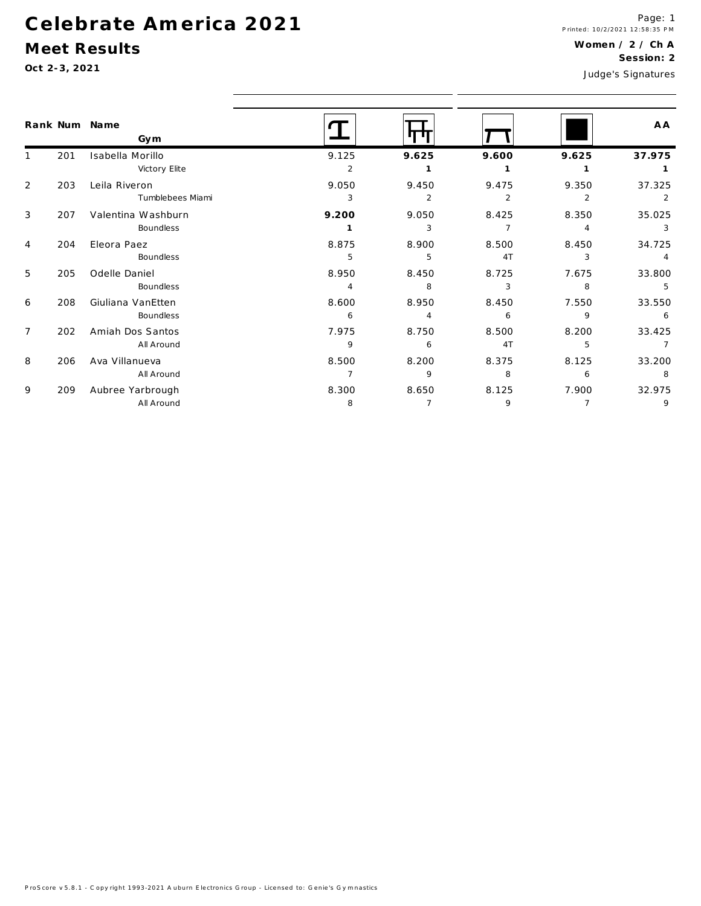### **C e le b ra te A m e rica 2 0 2 1**

All Around

#### **M eet Results**

1

2

3

4

5

6

7

8

9

8 7 9 7 9

|              | Oct 2-3, 2021 |                      |                |                |                |                | Judge's Signatures |
|--------------|---------------|----------------------|----------------|----------------|----------------|----------------|--------------------|
|              |               | Rank Num Name<br>Gym |                |                |                |                | A A                |
| $\mathbf{1}$ | 201           | Isabella Morillo     | 9.125          | 9.625          | 9.600          | 9.625          | 37.975             |
|              |               | Victory Elite        | 2              | 1              | $\mathbf{1}$   | $\mathbf{1}$   | $\mathbf{1}$       |
| 2            | 203           | Leila Riveron        | 9.050          | 9.450          | 9.475          | 9.350          | 37.325             |
|              |               | Tumblebees Miami     | 3              | 2              | $\overline{2}$ | 2              | 2                  |
| 3            | 207           | Valentina Washburn   | 9.200          | 9.050          | 8.425          | 8.350          | 35.025             |
|              |               | Boundless            | $\mathbf{1}$   | 3              | $\overline{7}$ | $\overline{4}$ | 3                  |
| 4            | 204           | Eleora Paez          | 8.875          | 8.900          | 8.500          | 8.450          | 34.725             |
|              |               | Boundless            | 5              | 5              | 4T             | 3              | $\overline{4}$     |
| 5            | 205           | Odelle Daniel        | 8.950          | 8.450          | 8.725          | 7.675          | 33.800             |
|              |               | Boundless            | 4              | 8              | 3              | 8              | 5                  |
| 6            | 208           | Giuliana VanEtten    | 8.600          | 8.950          | 8.450          | 7.550          | 33.550             |
|              |               | Boundless            | 6              | $\overline{4}$ | 6              | 9              | 6                  |
| 7            | 202           | Amiah Dos Santos     | 7.975          | 8.750          | 8.500          | 8.200          | 33.425             |
|              |               | All Around           | 9              | 6              | 4T             | 5              | $\overline{7}$     |
| 8            | 206           | Ava Villanueva       | 8.500          | 8.200          | 8.375          | 8.125          | 33.200             |
|              |               | All Around           | $\overline{7}$ | 9              | 8              | 6              | 8                  |
| 9            | 209           | Aubree Yarbrough     | 8.300          | 8.650          | 8.125          | 7.900          | 32.975             |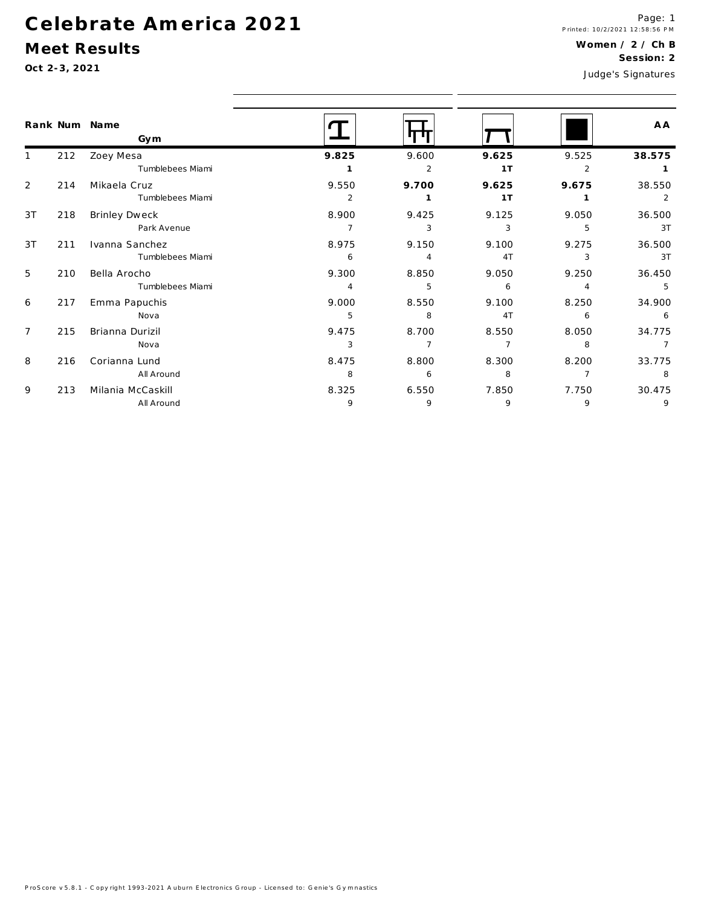#### Meet Results

|                |     | Rank Num Name<br>Gym |                |                |                |                | A A    |
|----------------|-----|----------------------|----------------|----------------|----------------|----------------|--------|
|                | 212 | Zoey Mesa            | 9.825          | 9.600          | 9.625          | 9.525          | 38.575 |
|                |     | Tumblebees Miami     | 1              | 2              | 1T             | 2              |        |
| 2              | 214 | Mikaela Cruz         | 9.550          | 9.700          | 9.625          | 9.675          | 38.550 |
|                |     | Tumblebees Miami     | 2              | 1              | 1T             |                | 2      |
| 3T             | 218 | Brinley Dweck        | 8.900          | 9.425          | 9.125          | 9.050          | 36.500 |
|                |     | Park Avenue          | $\overline{7}$ | 3              | 3              | 5              | 3T     |
| 3T             | 211 | Ivanna Sanchez       | 8.975          | 9.150          | 9.100          | 9.275          | 36.500 |
|                |     | Tumblebees Miami     | 6              | $\overline{4}$ | 4T             | 3              | 3T     |
| 5              | 210 | Bella Arocho         | 9.300          | 8.850          | 9.050          | 9.250          | 36.450 |
|                |     | Tumblebees Miami     | $\overline{4}$ | 5              | 6              | $\overline{4}$ | 5      |
| 6              | 217 | Emma Papuchis        | 9.000          | 8.550          | 9.100          | 8.250          | 34.900 |
|                |     | Nova                 | 5              | 8              | 4T             | 6              | 6      |
| $\overline{7}$ | 215 | Brianna Durizil      | 9.475          | 8.700          | 8.550          | 8.050          | 34.775 |
|                |     | Nova                 | 3              | 7              | $\overline{7}$ | 8              | -7     |
| 8              | 216 | Corianna Lund        | 8.475          | 8.800          | 8.300          | 8.200          | 33.775 |
|                |     | All Around           | 8              | 6              | 8              | $\overline{7}$ | 8      |
| 9              | 213 | Milania McCaskill    | 8.325          | 6.550          | 7.850          | 7.750          | 30.475 |
|                |     | All Around           | 9              | 9              | 9              | 9              | 9      |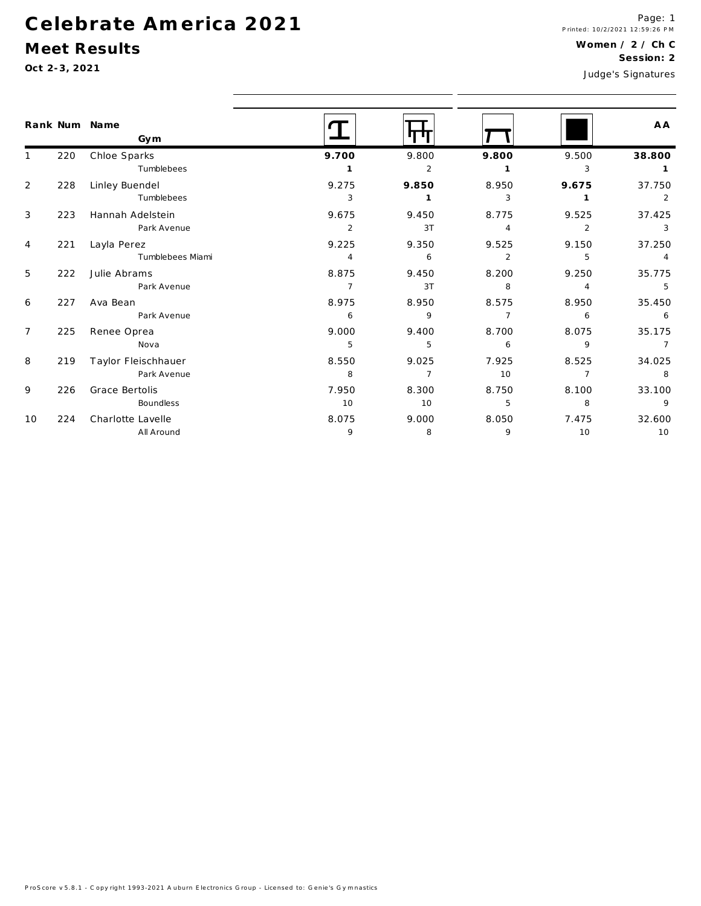#### Meet Results

|                |     | Rank Num Name<br>Gym |                |                |                |                | A A            |
|----------------|-----|----------------------|----------------|----------------|----------------|----------------|----------------|
|                | 220 | Chloe Sparks         | 9.700          | 9.800          | 9.800          | 9.500          | 38.800         |
|                |     | Tumblebees           | $\mathbf{1}$   | 2              | $\mathbf{1}$   | 3              | $\mathbf{1}$   |
| 2              | 228 | Linley Buendel       | 9.275          | 9.850          | 8.950          | 9.675          | 37.750         |
|                |     | Tumblebees           | 3              | $\overline{1}$ | 3              | $\overline{1}$ | 2              |
| $\mathbf{3}$   | 223 | Hannah Adelstein     | 9.675          | 9.450          | 8.775          | 9.525          | 37.425         |
|                |     | Park Avenue          | $\overline{2}$ | 3T             | $\overline{4}$ | 2              | 3              |
| 4              | 221 | Layla Perez          | 9.225          | 9.350          | 9.525          | 9.150          | 37.250         |
|                |     | Tumblebees Miami     | $\overline{4}$ | 6              | 2              | 5              | $\overline{4}$ |
| 5              | 222 | Julie Abrams         | 8.875          | 9.450          | 8.200          | 9.250          | 35.775         |
|                |     | Park Avenue          | $\overline{7}$ | 3T             | 8              | 4              | 5              |
| 6              | 227 | Ava Bean             | 8.975          | 8.950          | 8.575          | 8.950          | 35.450         |
|                |     | Park Avenue          | 6              | 9              | $\overline{7}$ | 6              | 6              |
| $\overline{7}$ | 225 | Renee Oprea          | 9.000          | 9.400          | 8.700          | 8.075          | 35.175         |
|                |     | Nova                 | 5              | 5              | 6              | 9              | $\overline{7}$ |
| 8              | 219 | Taylor Fleischhauer  | 8.550          | 9.025          | 7.925          | 8.525          | 34.025         |
|                |     | Park Avenue          | 8              | $\overline{7}$ | 10             | $\overline{7}$ | 8              |
| 9              | 226 | Grace Bertolis       | 7.950          | 8.300          | 8.750          | 8.100          | 33.100         |
|                |     | Boundless            | 10             | 10             | 5              | 8              | $\overline{9}$ |
| 10             | 224 | Charlotte Lavelle    | 8.075          | 9.000          | 8.050          | 7.475          | 32.600         |
|                |     | All Around           | 9              | 8              | 9              | 10             | 10             |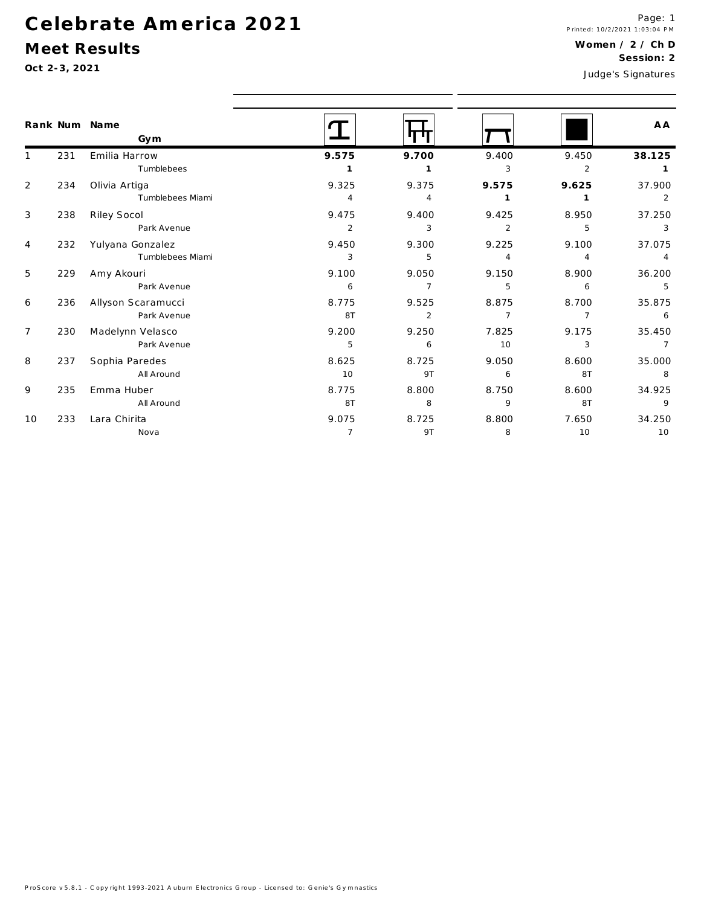#### Meet Results

|                |     | Rank Num Name<br>Gym |                |                |                |                                                                                                         | A A            |
|----------------|-----|----------------------|----------------|----------------|----------------|---------------------------------------------------------------------------------------------------------|----------------|
|                | 231 | Emilia Harrow        | 9.575          | 9.700          | 9.400          | 9.450                                                                                                   | 38.125         |
|                |     | Tumblebees           |                |                | 3              | $\overline{2}$                                                                                          |                |
| $\overline{2}$ | 234 | Olivia Artiga        | 9.325          | 9.375          | 9.575          | 9.625                                                                                                   | 37.900         |
|                |     | Tumblebees Miami     | $\overline{4}$ | 4              |                | 8.950<br>5<br>9.100<br>4<br>8.900<br>6<br>8.700<br>$\overline{7}$<br>9.175<br>3<br>8.600<br>8T<br>8.600 | 2              |
| 3              | 238 | Riley Socol          | 9.475          | 9.400          | 9.425          |                                                                                                         | 37.250         |
|                |     | Park Avenue          | $\overline{2}$ | 3              | $\overline{2}$ |                                                                                                         | 3              |
| $\overline{4}$ | 232 | Yulyana Gonzalez     | 9.450          | 9.300          | 9.225          |                                                                                                         | 37.075         |
|                |     | Tumblebees Miami     | 3              | 5              | $\overline{4}$ |                                                                                                         |                |
| 5              | 229 | Amy Akouri           | 9.100          | 9.050          | 9.150          |                                                                                                         | 36.200         |
|                |     | Park Avenue          | 6              | $\overline{7}$ | 5              |                                                                                                         | -5             |
| 6              | 236 | Allyson Scaramucci   | 8.775          | 9.525          | 8.875          |                                                                                                         | 35.875         |
|                |     | Park Avenue          | 8T             | $\overline{2}$ | $\overline{7}$ |                                                                                                         | 6              |
| $\overline{7}$ | 230 | Madelynn Velasco     | 9.200          | 9.250          | 7.825          |                                                                                                         | 35.450         |
|                |     | Park Avenue          | 5              | 6              | 10             |                                                                                                         | $\overline{7}$ |
| 8              | 237 | Sophia Paredes       | 8.625          | 8.725          | 9.050          |                                                                                                         | 35.000         |
|                |     | All Around           | 10             | 9T             | 6              |                                                                                                         | 8              |
| 9              | 235 | Emma Huber           | 8.775          | 8.800          | 8.750          |                                                                                                         | 34.925         |
|                |     | All Around           | 8T             | 8              | 9              | 8T                                                                                                      | 9              |
| 10             | 233 | Lara Chirita         | 9.075          | 8.725          | 8.800          | 7.650                                                                                                   | 34.250         |
|                |     | Nova                 | $\overline{7}$ | 9T             | 8              | 10                                                                                                      | 10             |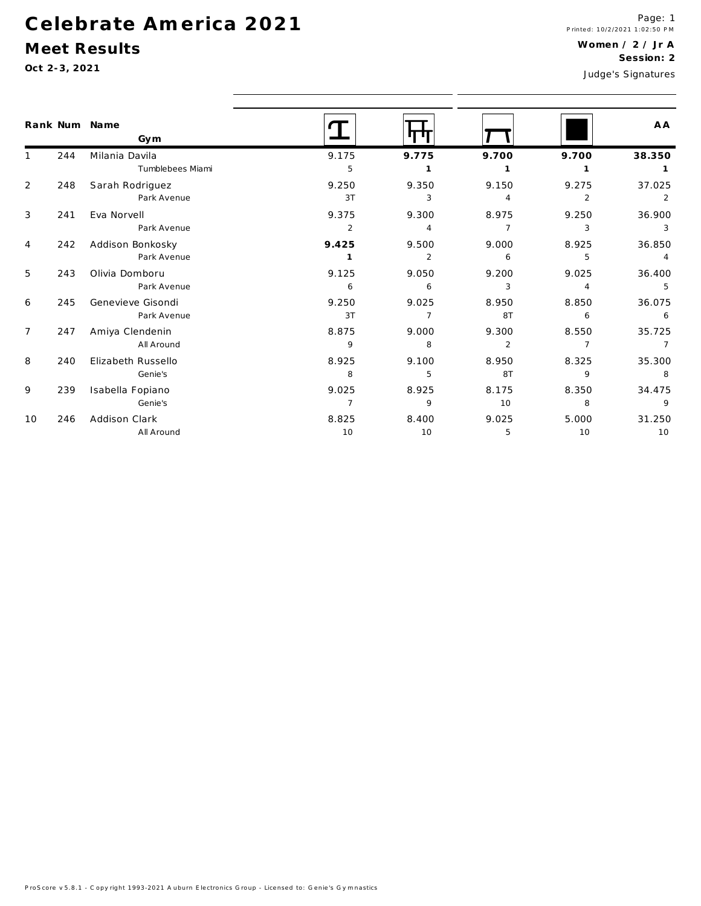#### Meet Results

|                |     | Rank Num Name<br>Gym |                |                |                |                | A A            |
|----------------|-----|----------------------|----------------|----------------|----------------|----------------|----------------|
|                | 244 | Milania Davila       | 9.175          | 9.775          | 9.700          | 9.700          | 38.350         |
|                |     | Tumblebees Miami     | 5              |                |                |                |                |
| $\overline{2}$ | 248 | Sarah Rodriguez      | 9.250          | 9.350          | 9.150          | 9.275          | 37.025         |
|                |     | Park Avenue          | 3T             | 3              | 4              | $\overline{2}$ | 2              |
| 3              | 241 | Eva Norvell          | 9.375          | 9.300          | 8.975          | 9.250          | 36.900         |
|                |     | Park Avenue          | $\overline{2}$ | $\overline{4}$ | $\overline{7}$ | 3              | 3              |
| 4              | 242 | Addison Bonkosky     | 9.425          | 9.500          | 9.000          | 8.925          | 36.850         |
|                |     | Park Avenue          | $\mathbf{1}$   | $\overline{2}$ | 6              | 5              |                |
| 5              | 243 | Olivia Domboru       | 9.125          | 9.050          | 9.200          | 9.025          | 36.400         |
|                |     | Park Avenue          | 6              | 6              | 3              | 4              | -5             |
| 6              | 245 | Genevieve Gisondi    | 9.250          | 9.025          | 8.950          | 8.850          | 36.075         |
|                |     | Park Avenue          | 3T             | $\overline{7}$ | 8T             | 6              | 6              |
| $\overline{7}$ | 247 | Amiya Clendenin      | 8.875          | 9.000          | 9.300          | 8.550          | 35.725         |
|                |     | All Around           | 9              | 8              | $\overline{2}$ | $\overline{7}$ | $\overline{7}$ |
| 8              | 240 | Elizabeth Russello   | 8.925          | 9.100          | 8.950          | 8.325          | 35.300         |
|                |     | Genie's              | 8              | 5              | 8T             | 9              | 8              |
| 9              | 239 | Isabella Fopiano     | 9.025          | 8.925          | 8.175          | 8.350          | 34.475         |
|                |     | Genie's              | $\overline{7}$ | 9              | 10             | 8              | 9              |
| 10             | 246 | Addison Clark        | 8.825          | 8.400          | 9.025          | 5.000          | 31.250         |
|                |     | All Around           | 10             | 10             | 5              | 10             | 10             |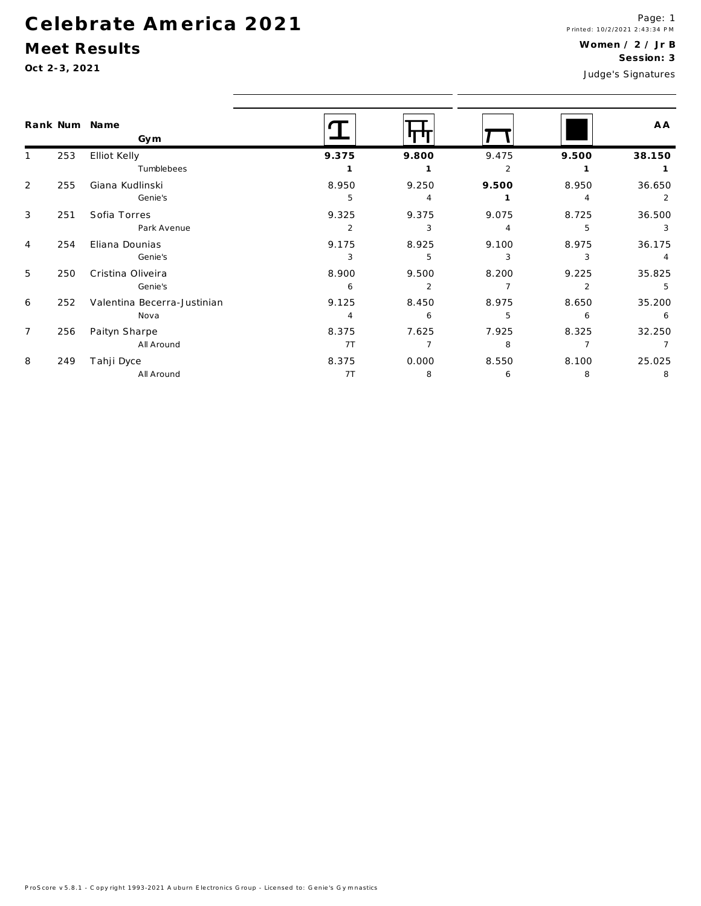#### Meet Results

|                 |     | Rank Num Name<br>Gym        |                |                |                |                | A A            |
|-----------------|-----|-----------------------------|----------------|----------------|----------------|----------------|----------------|
|                 | 253 | Elliot Kelly                | 9.375          | 9.800          | 9.475          | 9.500          | 38.150         |
|                 |     | Tumblebees                  |                |                | 2              |                |                |
| 2               | 255 | Giana Kudlinski             | 8.950          | 9.250          | 9.500          | 8.950          | 36.650         |
|                 |     | Genie's                     | 5              | $\overline{4}$ |                | $\overline{4}$ | $\overline{2}$ |
| $\mathbf{3}$    | 251 | Sofia Torres                | 9.325          | 9.375          | 9.075          | 8.725          | 36.500         |
|                 |     | Park Avenue                 | 2              | 3              | 4              | 5              | -3             |
| 4               | 254 | Eliana Dounias              | 9.175          | 8.925          | 9.100          | 8.975          | 36.175         |
|                 |     | Genie's                     | 3              | 5              | 3              | 3              | $\overline{4}$ |
| 5               | 250 | Cristina Oliveira           | 8.900          | 9.500          | 8.200          | 9.225          | 35.825         |
|                 |     | Genie's                     | 6              | 2              | $\overline{7}$ | $\mathcal{P}$  | -5             |
| 6               | 252 | Valentina Becerra-Justinian | 9.125          | 8.450          | 8.975          | 8.650          | 35.200         |
|                 |     | Nova                        | $\overline{4}$ | 6              | 5              | 6              | 6              |
| $7\overline{ }$ | 256 | Paityn Sharpe               | 8.375          | 7.625          | 7.925          | 8.325          | 32.250         |
|                 |     | All Around                  | 7T             | 7              | 8              |                |                |
| 8               | 249 | Tahji Dyce                  | 8.375          | 0.000          | 8.550          | 8.100          | 25.025         |
|                 |     | All Around                  | 7T             | - 8            | -6             | 8              | -8             |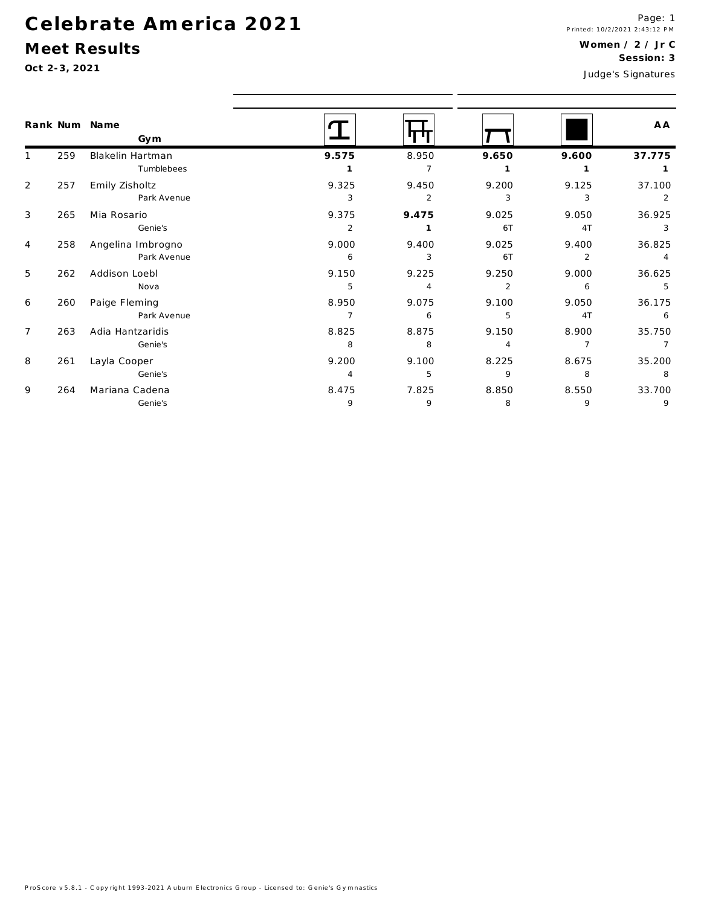#### Meet Results

|                |     | Rank Num Name<br>Gym |                |       |                |                | A A    |
|----------------|-----|----------------------|----------------|-------|----------------|----------------|--------|
|                | 259 | Blakelin Hartman     | 9.575          | 8.950 | 9.650          | 9.600          | 37.775 |
|                |     | Tumblebees           |                |       |                |                |        |
| $\overline{2}$ | 257 | Emily Zisholtz       | 9.325          | 9.450 | 9.200          | 9.125          | 37.100 |
|                |     | Park Avenue          | 3              | 2     | 3              | 3              | 2      |
| 3              | 265 | Mia Rosario          | 9.375          | 9.475 | 9.025          | 9.050          | 36.925 |
|                |     | Genie's              | 2              |       | 6T             | 4T             | 3      |
| $\overline{4}$ | 258 | Angelina Imbrogno    | 9.000          | 9.400 | 9.025          | 9.400          | 36.825 |
|                |     | Park Avenue          | 6              | 3     | 6T             | $\overline{2}$ | 4      |
| 5              | 262 | Addison Loebl        | 9.150          | 9.225 | 9.250          | 9.000          | 36.625 |
|                |     | Nova                 | 5              | 4     | $\overline{2}$ | 6              | 5      |
| 6              | 260 | Paige Fleming        | 8.950          | 9.075 | 9.100          | 9.050          | 36.175 |
|                |     | Park Avenue          | $\overline{7}$ | 6     | 5              | 4T             | 6      |
| $\overline{7}$ | 263 | Adia Hantzaridis     | 8.825          | 8.875 | 9.150          | 8.900          | 35.750 |
|                |     | Genie's              | 8              | 8     | 4              | $\overline{7}$ | 7      |
| 8              | 261 | Layla Cooper         | 9.200          | 9.100 | 8.225          | 8.675          | 35.200 |
|                |     | Genie's              | 4              | 5     | 9              | 8              | 8      |
| 9              | 264 | Mariana Cadena       | 8.475          | 7.825 | 8.850          | 8.550          | 33.700 |
|                |     | Genie's              | 9              | 9     | 8              | 9              | 9      |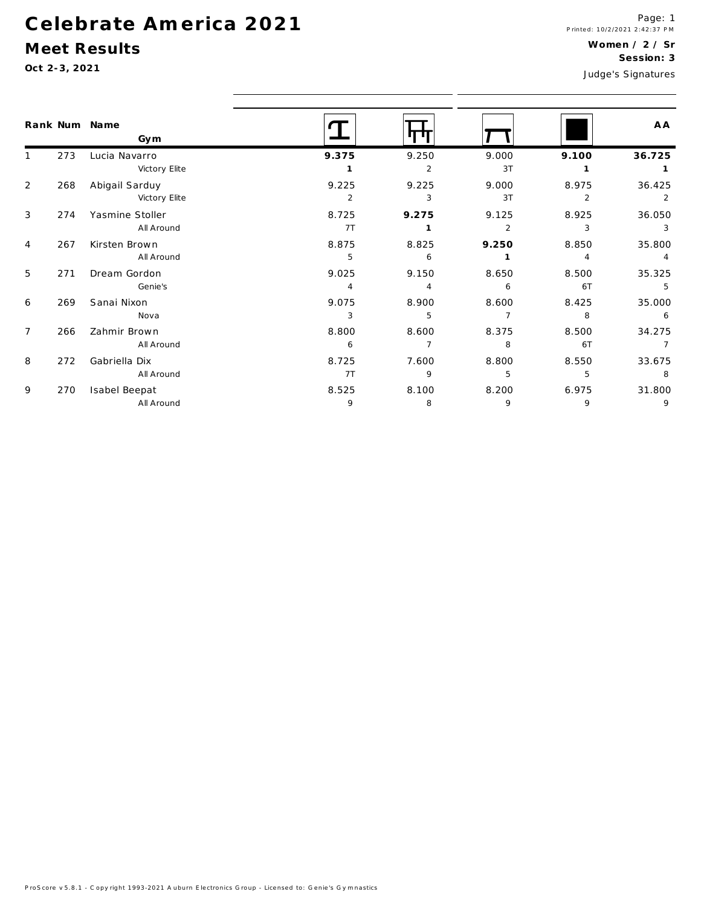#### Meet Results

|                |     | Rank Num Name<br>Gym |                |                |                |                | A A            |
|----------------|-----|----------------------|----------------|----------------|----------------|----------------|----------------|
| $\mathbf{1}$   | 273 | Lucia Navarro        | 9.375          | 9.250          | 9.000          | 9.100          | 36.725         |
|                |     | Victory Elite        |                | $\overline{2}$ | 3T             | -1             | $\mathbf{1}$   |
| 2              | 268 | Abigail Sarduy       | 9.225          | 9.225          | 9.000          | 8.975          | 36.425         |
|                |     | Victory Elite        | $\overline{2}$ | 3              | 3T             | 2              | 2              |
| 3              | 274 | Yasmine Stoller      | 8.725          | 9.275          | 9.125          | 8.925          | 36.050         |
|                |     | All Around           | 7 <sub>T</sub> | 1              | $\overline{2}$ | 3              | 3              |
| $\overline{4}$ | 267 | Kirsten Brown        | 8.875          | 8.825          | 9.250          | 8.850          | 35.800         |
|                |     | All Around           | 5              | 6              |                | $\overline{4}$ | $\overline{4}$ |
| 5              | 271 | Dream Gordon         | 9.025          | 9.150          | 8.650          | 8.500          | 35.325         |
|                |     | Genie's              | 4              | $\overline{4}$ | 6              | 6T             | 5              |
| 6              | 269 | Sanai Nixon          | 9.075          | 8.900          | 8.600          | 8.425          | 35.000         |
|                |     | Nova                 | 3              | 5              | $\overline{7}$ | 8              | 6              |
| $\overline{7}$ | 266 | Zahmir Brown         | 8.800          | 8.600          | 8.375          | 8.500          | 34.275         |
|                |     | All Around           | 6              | $\overline{7}$ | 8              | 6T             |                |
| 8              | 272 | Gabriella Dix        | 8.725          | 7.600          | 8.800          | 8.550          | 33.675         |
|                |     | All Around           | 7 <sub>T</sub> | 9              | 5              | 5              | 8              |
| 9              | 270 | Isabel Beepat        | 8.525          | 8.100          | 8.200          | 6.975          | 31.800         |
|                |     | All Around           | 9              | 8              | 9              | 9              | 9              |